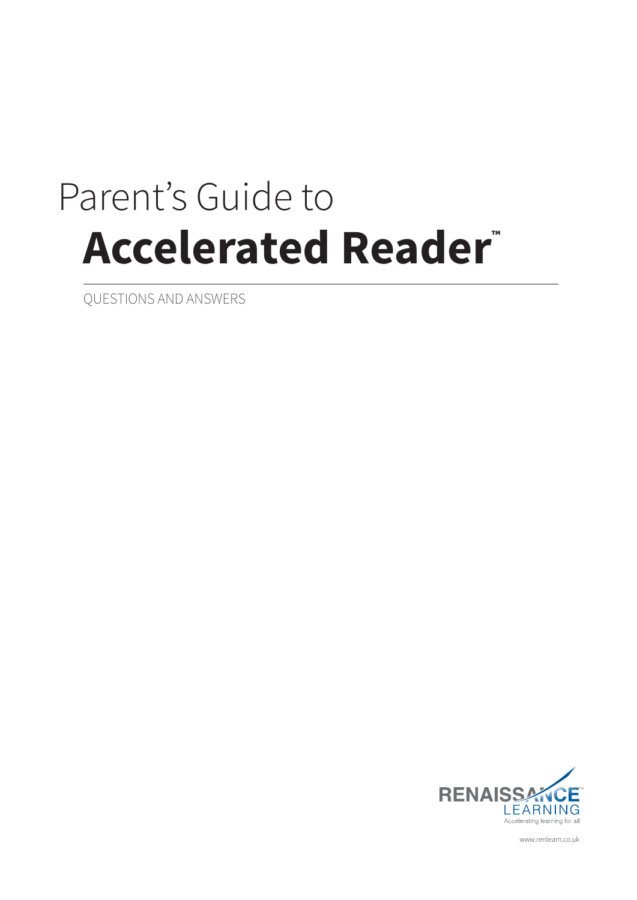# Parent's Guide to **Accelerated Reader™**

QUESTIONS AND ANSWERS



www.renlearn.co.uk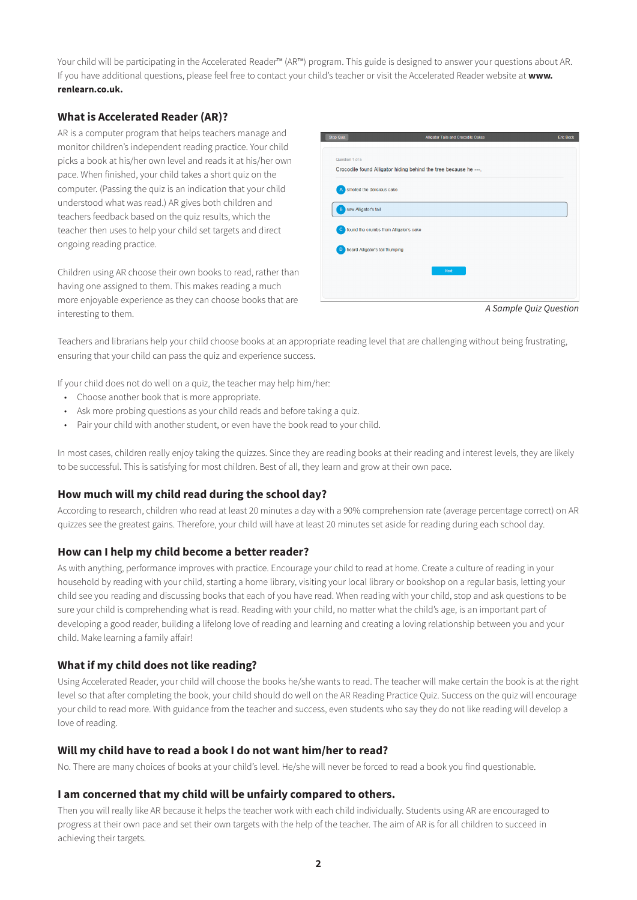Your child will be participating in the Accelerated Reader™ (AR™) program. This guide is designed to answer your questions about AR. If you have additional questions, please feel free to contact your child's teacher or visit the Accelerated Reader website at **www. renlearn.co.uk.**

# **What is Accelerated Reader (AR)?**

AR is a computer program that helps teachers manage and monitor children's independent reading practice. Your child picks a book at his/her own level and reads it at his/her own pace. When finished, your child takes a short quiz on the computer. (Passing the quiz is an indication that your child understood what was read.) AR gives both children and teachers feedback based on the quiz results, which the teacher then uses to help your child set targets and direct ongoing reading practice.

Children using AR choose their own books to read, rather than having one assigned to them. This makes reading a much more enjoyable experience as they can choose books that are interesting to them.

| Question 1 of 5                              |                                                                  |  |
|----------------------------------------------|------------------------------------------------------------------|--|
|                                              | Crocodile found Alligator hiding behind the tree because he ---. |  |
| smelled the delicious cake                   |                                                                  |  |
| saw Alligator's tail<br>B                    |                                                                  |  |
| found the crumbs from Alligator's cake<br>C. |                                                                  |  |
| heard Alligator's tail thumping              |                                                                  |  |
|                                              | Next                                                             |  |
|                                              |                                                                  |  |

Teachers and librarians help your child choose books at an appropriate reading level that are challenging without being frustrating, ensuring that your child can pass the quiz and experience success.

If your child does not do well on a quiz, the teacher may help him/her:

- Choose another book that is more appropriate.
- Ask more probing questions as your child reads and before taking a quiz.
- Pair your child with another student, or even have the book read to your child.

In most cases, children really enjoy taking the quizzes. Since they are reading books at their reading and interest levels, they are likely to be successful. This is satisfying for most children. Best of all, they learn and grow at their own pace.

# **How much will my child read during the school day?**

According to research, children who read at least 20 minutes a day with a 90% comprehension rate (average percentage correct) on AR quizzes see the greatest gains. Therefore, your child will have at least 20 minutes set aside for reading during each school day.

#### **How can I help my child become a better reader?**

As with anything, performance improves with practice. Encourage your child to read at home. Create a culture of reading in your household by reading with your child, starting a home library, visiting your local library or bookshop on a regular basis, letting your child see you reading and discussing books that each of you have read. When reading with your child, stop and ask questions to be sure your child is comprehending what is read. Reading with your child, no matter what the child's age, is an important part of developing a good reader, building a lifelong love of reading and learning and creating a loving relationship between you and your child. Make learning a family affair!

#### **What if my child does not like reading?**

Using Accelerated Reader, your child will choose the books he/she wants to read. The teacher will make certain the book is at the right level so that after completing the book, your child should do well on the AR Reading Practice Quiz. Success on the quiz will encourage your child to read more. With guidance from the teacher and success, even students who say they do not like reading will develop a love of reading.

#### **Will my child have to read a book I do not want him/her to read?**

No. There are many choices of books at your child's level. He/she will never be forced to read a book you find questionable.

#### **I am concerned that my child will be unfairly compared to others.**

Then you will really like AR because it helps the teacher work with each child individually. Students using AR are encouraged to progress at their own pace and set their own targets with the help of the teacher. The aim of AR is for all children to succeed in achieving their targets.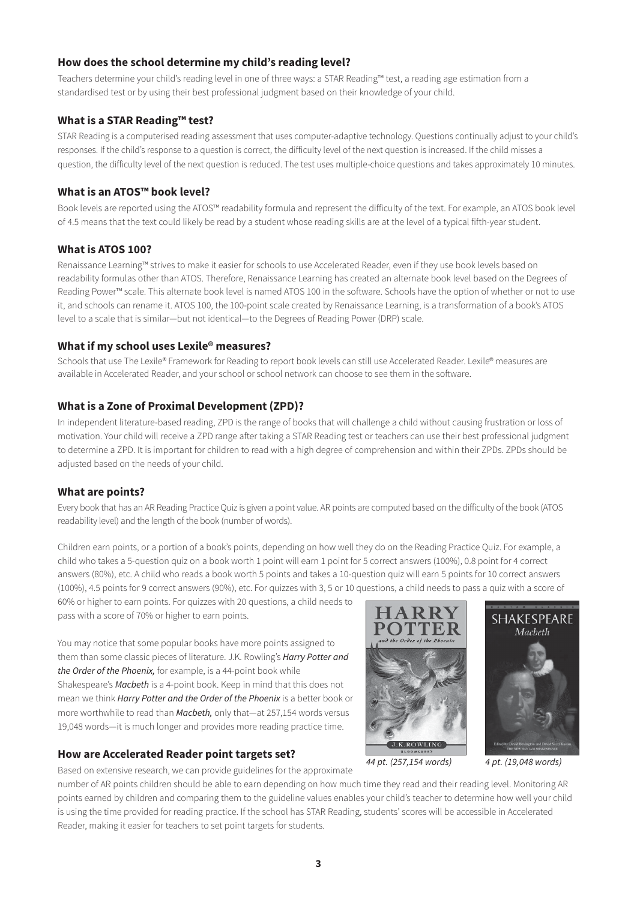# **How does the school determine my child's reading level?**

Teachers determine your child's reading level in one of three ways: a STAR Reading™ test, a reading age estimation from a standardised test or by using their best professional judgment based on their knowledge of your child.

#### **What is a STAR Reading™ test?**

STAR Reading is a computerised reading assessment that uses computer-adaptive technology. Questions continually adjust to your child's responses. If the child's response to a question is correct, the difficulty level of the next question is increased. If the child misses a question, the difficulty level of the next question is reduced. The test uses multiple-choice questions and takes approximately 10 minutes.

#### **What is an ATOS™ book level?**

Book levels are reported using the ATOS™ readability formula and represent the difficulty of the text. For example, an ATOS book level of 4.5 means that the text could likely be read by a student whose reading skills are at the level of a typical fifth-year student.

#### **What is ATOS 100?**

Renaissance Learning™ strives to make it easier for schools to use Accelerated Reader, even if they use book levels based on readability formulas other than ATOS. Therefore, Renaissance Learning has created an alternate book level based on the Degrees of Reading Power™ scale. This alternate book level is named ATOS 100 in the software. Schools have the option of whether or not to use it, and schools can rename it. ATOS 100, the 100-point scale created by Renaissance Learning, is a transformation of a book's ATOS level to a scale that is similar—but not identical—to the Degrees of Reading Power (DRP) scale.

#### **What if my school uses Lexile® measures?**

Schools that use The Lexile® Framework for Reading to report book levels can still use Accelerated Reader. Lexile® measures are available in Accelerated Reader, and your school or school network can choose to see them in the software.

#### **What is a Zone of Proximal Development (ZPD)?**

In independent literature-based reading, ZPD is the range of books that will challenge a child without causing frustration or loss of motivation. Your child will receive a ZPD range after taking a STAR Reading test or teachers can use their best professional judgment to determine a ZPD. It is important for children to read with a high degree of comprehension and within their ZPDs. ZPDs should be adjusted based on the needs of your child.

#### **What are points?**

Every book that has an AR Reading Practice Quiz is given a point value. AR points are computed based on the difficulty of the book (ATOS readability level) and the length of the book (number of words).

Children earn points, or a portion of a book's points, depending on how well they do on the Reading Practice Quiz. For example, a child who takes a 5-question quiz on a book worth 1 point will earn 1 point for 5 correct answers (100%), 0.8 point for 4 correct answers (80%), etc. A child who reads a book worth 5 points and takes a 10-question quiz will earn 5 points for 10 correct answers (100%), 4.5 points for 9 correct answers (90%), etc. For quizzes with 3, 5 or 10 questions, a child needs to pass a quiz with a score of

60% or higher to earn points. For quizzes with 20 questions, a child needs to pass with a score of 70% or higher to earn points.

You may notice that some popular books have more points assigned to them than some classic pieces of literature. J.K. Rowling's *Harry Potter and the Order of the Phoenix,* for example, is a 44-point book while Shakespeare's *Macbeth* is a 4-point book. Keep in mind that this does not mean we think *Harry Potter and the Order of the Phoenix* is a better book or more worthwhile to read than *Macbeth,* only that—at 257,154 words versus 19,048 words—it is much longer and provides more reading practice time.

#### **How are Accelerated Reader point targets set?**

Based on extensive research, we can provide guidelines for the approximate

J.K.ROWLING

*44 pt. (257,154 words) 4 pt. (19,048 words)*



number of AR points children should be able to earn depending on how much time they read and their reading level. Monitoring AR points earned by children and comparing them to the guideline values enables your child's teacher to determine how well your child is using the time provided for reading practice. If the school has STAR Reading, students' scores will be accessible in Accelerated Reader, making it easier for teachers to set point targets for students.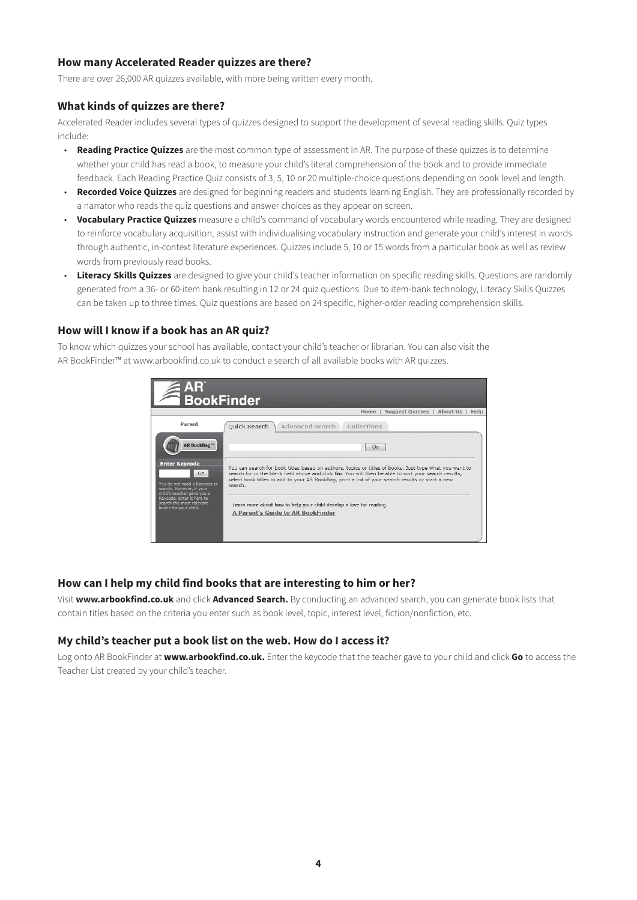# **How many Accelerated Reader quizzes are there?**

There are over 26,000 AR quizzes available, with more being written every month.

#### **What kinds of quizzes are there?**

Accelerated Reader includes several types of quizzes designed to support the development of several reading skills. Quiz types include:

- **Reading Practice Quizzes** are the most common type of assessment in AR. The purpose of these quizzes is to determine whether your child has read a book, to measure your child's literal comprehension of the book and to provide immediate feedback. Each Reading Practice Quiz consists of 3, 5, 10 or 20 multiple-choice questions depending on book level and length.
- **Recorded Voice Quizzes** are designed for beginning readers and students learning English. They are professionally recorded by a narrator who reads the quiz questions and answer choices as they appear on screen.
- **Vocabulary Practice Quizzes** measure a child's command of vocabulary words encountered while reading. They are designed to reinforce vocabulary acquisition, assist with individualising vocabulary instruction and generate your child's interest in words through authentic, in-context literature experiences. Quizzes include 5, 10 or 15 words from a particular book as well as review words from previously read books.
- **Literacy Skills Quizzes** are designed to give your child's teacher information on specific reading skills. Questions are randomly generated from a 36- or 60-item bank resulting in 12 or 24 quiz questions. Due to item-bank technology, Literacy Skills Quizzes can be taken up to three times. Quiz questions are based on 24 specific, higher-order reading comprehension skills.

# **How will I know if a book has an AR quiz?**

To know which quizzes your school has available, contact your child's teacher or librarian. You can also visit the AR BookFinder™ at www.arbookfind.co.uk to conduct a search of all available books with AR quizzes.



#### **How can I help my child find books that are interesting to him or her?**

Visit **www.arbookfind.co.uk** and click **Advanced Search.** By conducting an advanced search, you can generate book lists that contain titles based on the criteria you enter such as book level, topic, interest level, fiction/nonfiction, etc.

#### **My child's teacher put a book list on the web. How do I access it?**

Log onto AR BookFinder at **www.arbookfind.co.uk.** Enter the keycode that the teacher gave to your child and click **Go** to access the Teacher List created by your child's teacher.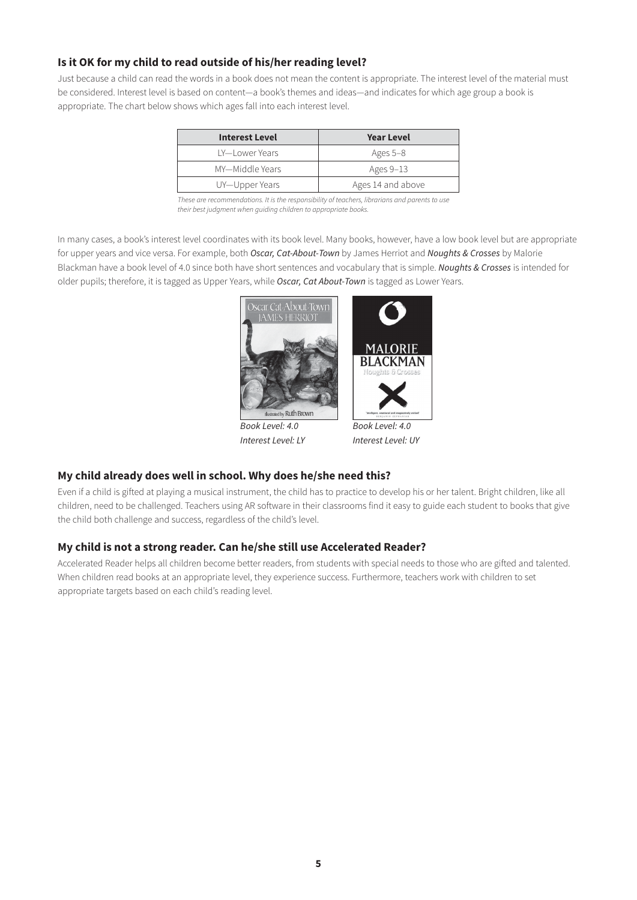# **Is it OK for my child to read outside of his/her reading level?**

Just because a child can read the words in a book does not mean the content is appropriate. The interest level of the material must be considered. Interest level is based on content—a book's themes and ideas—and indicates for which age group a book is appropriate. The chart below shows which ages fall into each interest level.

| <b>Interest Level</b> | <b>Year Level</b> |
|-----------------------|-------------------|
| IY-Lower Years        | Ages 5-8          |
| MY—Middle Years       | Ages 9–13         |
| UY-Upper Years        | Ages 14 and above |

*These are recommendations. It is the responsibility of teachers, librarians and parents to use their best judgment when guiding children to appropriate books.*

In many cases, a book's interest level coordinates with its book level. Many books, however, have a low book level but are appropriate for upper years and vice versa. For example, both *Oscar, Cat-About-Town* by James Herriot and *Noughts & Crosses* by Malorie Blackman have a book level of 4.0 since both have short sentences and vocabulary that is simple. *Noughts & Crosses* is intended for older pupils; therefore, it is tagged as Upper Years, while *Oscar, Cat About-Town* is tagged as Lower Years.



# **My child already does well in school. Why does he/she need this?**

Even if a child is gifted at playing a musical instrument, the child has to practice to develop his or her talent. Bright children, like all children, need to be challenged. Teachers using AR software in their classrooms find it easy to guide each student to books that give the child both challenge and success, regardless of the child's level.

# **My child is not a strong reader. Can he/she still use Accelerated Reader?**

Accelerated Reader helps all children become better readers, from students with special needs to those who are gifted and talented. When children read books at an appropriate level, they experience success. Furthermore, teachers work with children to set appropriate targets based on each child's reading level.